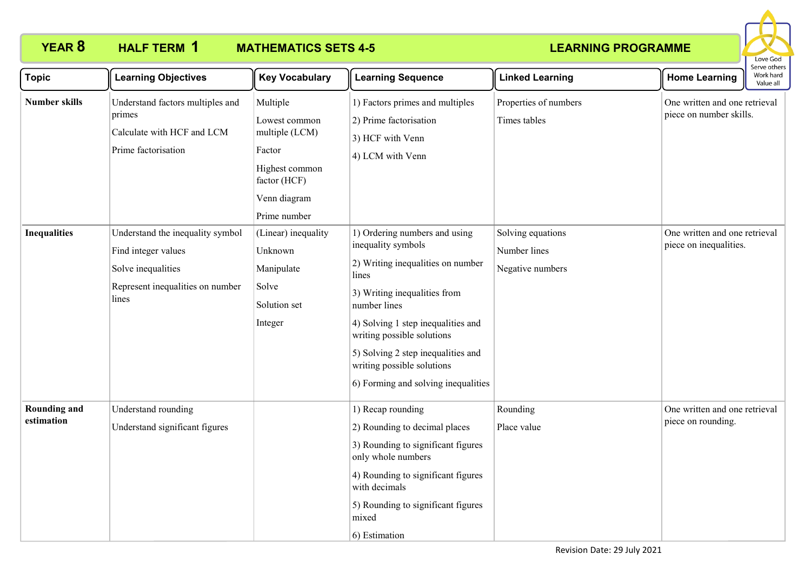

| <b>Topic</b>                      | <b>Learning Objectives</b>                                                                                                 | <b>Key Vocabulary</b>                                                                                                   | <b>Learning Sequence</b>                                                                                                                                                                                                                                                                                                         | <b>Linked Learning</b>                                | Serve others<br>Work hard<br><b>Home Learning</b>                     |
|-----------------------------------|----------------------------------------------------------------------------------------------------------------------------|-------------------------------------------------------------------------------------------------------------------------|----------------------------------------------------------------------------------------------------------------------------------------------------------------------------------------------------------------------------------------------------------------------------------------------------------------------------------|-------------------------------------------------------|-----------------------------------------------------------------------|
| <b>Number skills</b>              | Understand factors multiples and<br>primes<br>Calculate with HCF and LCM<br>Prime factorisation                            | Multiple<br>Lowest common<br>multiple (LCM)<br>Factor<br>Highest common<br>factor (HCF)<br>Venn diagram<br>Prime number | 1) Factors primes and multiples<br>2) Prime factorisation<br>3) HCF with Venn<br>4) LCM with Venn                                                                                                                                                                                                                                | Properties of numbers<br>Times tables                 | Value all<br>One written and one retrieval<br>piece on number skills. |
| <b>Inequalities</b>               | Understand the inequality symbol<br>Find integer values<br>Solve inequalities<br>Represent inequalities on number<br>lines | (Linear) inequality<br>Unknown<br>Manipulate<br>Solve<br>Solution set<br>Integer                                        | 1) Ordering numbers and using<br>inequality symbols<br>2) Writing inequalities on number<br>lines<br>3) Writing inequalities from<br>number lines<br>4) Solving 1 step inequalities and<br>writing possible solutions<br>5) Solving 2 step inequalities and<br>writing possible solutions<br>6) Forming and solving inequalities | Solving equations<br>Number lines<br>Negative numbers | One written and one retrieval<br>piece on inequalities.               |
| <b>Rounding and</b><br>estimation | Understand rounding<br>Understand significant figures                                                                      |                                                                                                                         | 1) Recap rounding<br>2) Rounding to decimal places<br>3) Rounding to significant figures<br>only whole numbers<br>4) Rounding to significant figures<br>with decimals<br>5) Rounding to significant figures<br>mixed<br>6) Estimation                                                                                            | Rounding<br>Place value                               | One written and one retrieval<br>piece on rounding.                   |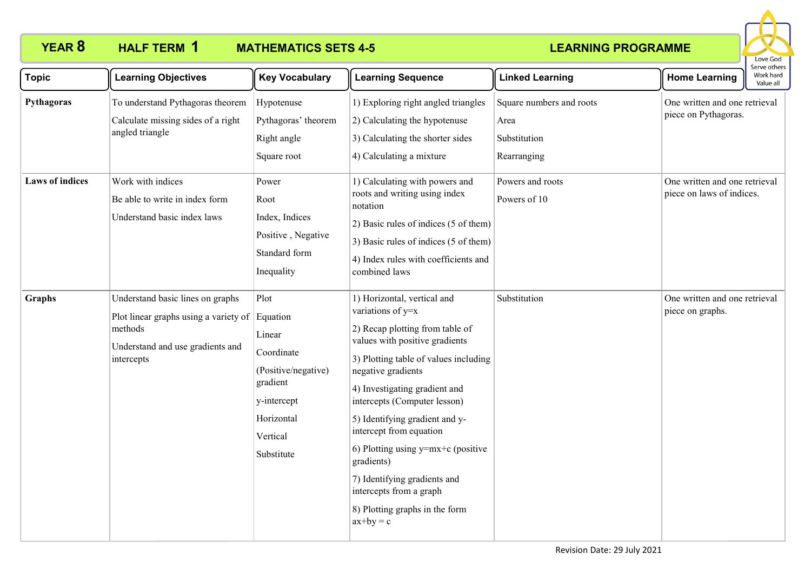

| <b>Topic</b>                         | <b>Learning Objectives</b>                                                                                                             | <b>Key Vocabulary</b>                                                                                                              | <b>Learning Sequence</b>                                                                                                                                                                                                                                                                                                                                                                                                                                                             | <b>Linked Learning</b>                                                              | Serve others<br>Work hard<br><b>Home Learning</b><br>Value all                         |
|--------------------------------------|----------------------------------------------------------------------------------------------------------------------------------------|------------------------------------------------------------------------------------------------------------------------------------|--------------------------------------------------------------------------------------------------------------------------------------------------------------------------------------------------------------------------------------------------------------------------------------------------------------------------------------------------------------------------------------------------------------------------------------------------------------------------------------|-------------------------------------------------------------------------------------|----------------------------------------------------------------------------------------|
| Pythagoras<br><b>Laws of indices</b> | To understand Pythagoras theorem<br>Calculate missing sides of a right<br>angled triangle<br>Work with indices                         | Hypotenuse<br>Pythagoras' theorem<br>Right angle<br>Square root<br>Power                                                           | 1) Exploring right angled triangles<br>2) Calculating the hypotenuse<br>3) Calculating the shorter sides<br>4) Calculating a mixture<br>1) Calculating with powers and                                                                                                                                                                                                                                                                                                               | Square numbers and roots<br>Area<br>Substitution<br>Rearranging<br>Powers and roots | One written and one retrieval<br>piece on Pythagoras.<br>One written and one retrieval |
|                                      | Be able to write in index form<br>Understand basic index laws                                                                          | Root<br>Index, Indices<br>Positive, Negative<br>Standard form<br>Inequality                                                        | roots and writing using index<br>notation<br>2) Basic rules of indices (5 of them)<br>3) Basic rules of indices (5 of them)<br>4) Index rules with coefficients and<br>combined laws                                                                                                                                                                                                                                                                                                 | Powers of 10                                                                        | piece on laws of indices.                                                              |
| Graphs                               | Understand basic lines on graphs<br>Plot linear graphs using a variety of<br>methods<br>Understand and use gradients and<br>intercepts | Plot<br>Equation<br>Linear<br>Coordinate<br>(Positive/negative)<br>gradient<br>y-intercept<br>Horizontal<br>Vertical<br>Substitute | 1) Horizontal, vertical and<br>variations of y=x<br>2) Recap plotting from table of<br>values with positive gradients<br>3) Plotting table of values including<br>negative gradients<br>4) Investigating gradient and<br>intercepts (Computer lesson)<br>5) Identifying gradient and y-<br>intercept from equation<br>6) Plotting using $y=mx+c$ (positive<br>gradients)<br>7) Identifying gradients and<br>intercepts from a graph<br>8) Plotting graphs in the form<br>$ax+by = c$ | Substitution                                                                        | One written and one retrieval<br>piece on graphs.                                      |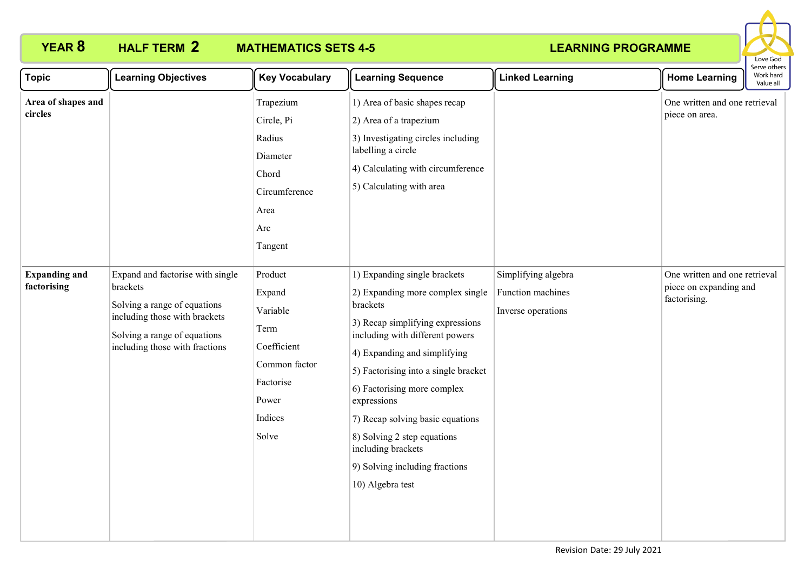

| Topic                               | <b>Learning Objectives</b>                                                                                                                                                      | <b>Key Vocabulary</b>                                                                                           | <b>Learning Sequence</b>                                                                                                                                                                                                                                                                                                                                                                                                 | <b>Linked Learning</b>                                         | <b>Home Learning</b>                                                    | וסנו עם טנוופו:<br>Work hard<br>Value all |
|-------------------------------------|---------------------------------------------------------------------------------------------------------------------------------------------------------------------------------|-----------------------------------------------------------------------------------------------------------------|--------------------------------------------------------------------------------------------------------------------------------------------------------------------------------------------------------------------------------------------------------------------------------------------------------------------------------------------------------------------------------------------------------------------------|----------------------------------------------------------------|-------------------------------------------------------------------------|-------------------------------------------|
| Area of shapes and<br>circles       |                                                                                                                                                                                 | Trapezium<br>Circle, Pi<br>Radius<br>Diameter<br>Chord<br>Circumference<br>Area<br>Arc<br>Tangent               | 1) Area of basic shapes recap<br>2) Area of a trapezium<br>3) Investigating circles including<br>labelling a circle<br>4) Calculating with circumference<br>5) Calculating with area                                                                                                                                                                                                                                     |                                                                | One written and one retrieval<br>piece on area.                         |                                           |
| <b>Expanding and</b><br>factorising | Expand and factorise with single<br>brackets<br>Solving a range of equations<br>including those with brackets<br>Solving a range of equations<br>including those with fractions | Product<br>Expand<br>Variable<br>Term<br>Coefficient<br>Common factor<br>Factorise<br>Power<br>Indices<br>Solve | 1) Expanding single brackets<br>2) Expanding more complex single<br>brackets<br>3) Recap simplifying expressions<br>including with different powers<br>4) Expanding and simplifying<br>5) Factorising into a single bracket<br>6) Factorising more complex<br>expressions<br>7) Recap solving basic equations<br>8) Solving 2 step equations<br>including brackets<br>9) Solving including fractions<br>10) Algebra test | Simplifying algebra<br>Function machines<br>Inverse operations | One written and one retrieval<br>piece on expanding and<br>factorising. |                                           |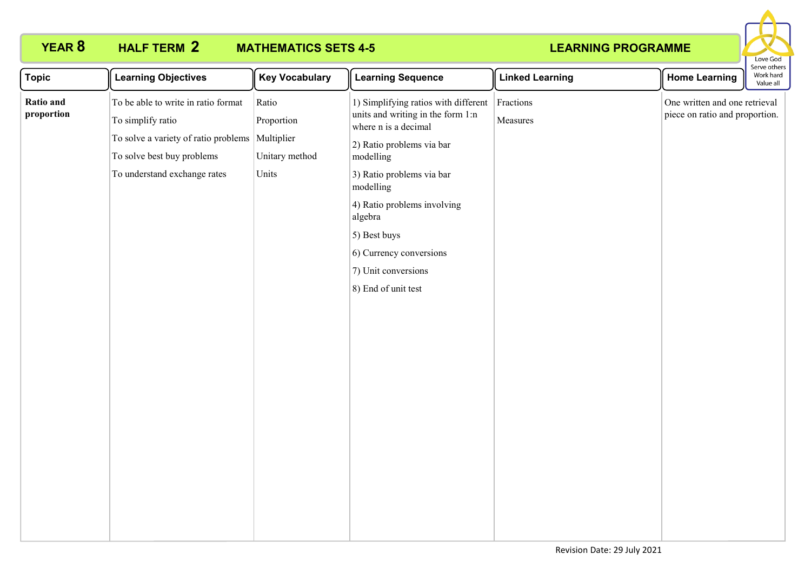

| <b>Topic</b>            | <b>Learning Objectives</b>                                                                                                                                                | <b>Key Vocabulary</b>                          | <b>Learning Sequence</b>                                                                                                                                                                                                                                                                                                 | <b>Linked Learning</b> | <b>Home Learning</b>                                            | .<br>Work hard<br>Value all |
|-------------------------|---------------------------------------------------------------------------------------------------------------------------------------------------------------------------|------------------------------------------------|--------------------------------------------------------------------------------------------------------------------------------------------------------------------------------------------------------------------------------------------------------------------------------------------------------------------------|------------------------|-----------------------------------------------------------------|-----------------------------|
| Ratio and<br>proportion | To be able to write in ratio format<br>To simplify ratio<br>To solve a variety of ratio problems Multiplier<br>To solve best buy problems<br>To understand exchange rates | Ratio<br>Proportion<br>Unitary method<br>Units | 1) Simplifying ratios with different<br>units and writing in the form 1:n<br>where n is a decimal<br>2) Ratio problems via bar<br>modelling<br>3) Ratio problems via bar<br>modelling<br>4) Ratio problems involving<br>algebra<br>5) Best buys<br>6) Currency conversions<br>7) Unit conversions<br>8) End of unit test | Fractions<br>Measures  | One written and one retrieval<br>piece on ratio and proportion. |                             |
|                         |                                                                                                                                                                           |                                                |                                                                                                                                                                                                                                                                                                                          |                        |                                                                 |                             |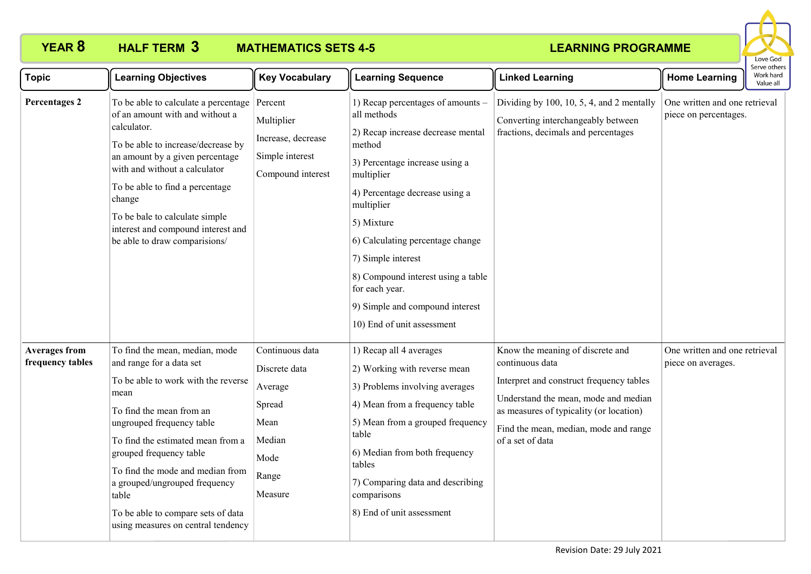

| <b>Topic</b>                             | <b>Learning Objectives</b>                                                                                                                                                                                                                                                                                                                                                                   | <b>Key Vocabulary</b>                                                                               | <b>Learning Sequence</b>                                                                                                                                                                                                                                                                                                                                                                         | <b>Linked Learning</b>                                                                                                                                                                                                                          | <b>Home Learning</b>                                   | Serve others<br>Work hard<br>Value all |
|------------------------------------------|----------------------------------------------------------------------------------------------------------------------------------------------------------------------------------------------------------------------------------------------------------------------------------------------------------------------------------------------------------------------------------------------|-----------------------------------------------------------------------------------------------------|--------------------------------------------------------------------------------------------------------------------------------------------------------------------------------------------------------------------------------------------------------------------------------------------------------------------------------------------------------------------------------------------------|-------------------------------------------------------------------------------------------------------------------------------------------------------------------------------------------------------------------------------------------------|--------------------------------------------------------|----------------------------------------|
| <b>Percentages 2</b>                     | To be able to calculate a percentage<br>of an amount with and without a<br>calculator.<br>To be able to increase/decrease by<br>an amount by a given percentage<br>with and without a calculator<br>To be able to find a percentage<br>change<br>To be bale to calculate simple<br>interest and compound interest and<br>be able to draw comparisions/                                       | Percent<br>Multiplier<br>Increase, decrease<br>Simple interest<br>Compound interest                 | 1) Recap percentages of amounts -<br>all methods<br>2) Recap increase decrease mental<br>method<br>3) Percentage increase using a<br>multiplier<br>4) Percentage decrease using a<br>multiplier<br>5) Mixture<br>6) Calculating percentage change<br>7) Simple interest<br>8) Compound interest using a table<br>for each year.<br>9) Simple and compound interest<br>10) End of unit assessment | Dividing by 100, 10, 5, 4, and 2 mentally<br>Converting interchangeably between<br>fractions, decimals and percentages                                                                                                                          | One written and one retrieval<br>piece on percentages. |                                        |
| <b>Averages from</b><br>frequency tables | To find the mean, median, mode<br>and range for a data set<br>To be able to work with the reverse<br>mean<br>To find the mean from an<br>ungrouped frequency table<br>To find the estimated mean from a<br>grouped frequency table<br>To find the mode and median from<br>a grouped/ungrouped frequency<br>table<br>To be able to compare sets of data<br>using measures on central tendency | Continuous data<br>Discrete data<br>Average<br>Spread<br>Mean<br>Median<br>Mode<br>Range<br>Measure | 1) Recap all 4 averages<br>2) Working with reverse mean<br>3) Problems involving averages<br>4) Mean from a frequency table<br>5) Mean from a grouped frequency<br>table<br>6) Median from both frequency<br>tables<br>7) Comparing data and describing<br>comparisons<br>8) End of unit assessment                                                                                              | Know the meaning of discrete and<br>continuous data<br>Interpret and construct frequency tables<br>Understand the mean, mode and median<br>as measures of typicality (or location)<br>Find the mean, median, mode and range<br>of a set of data | One written and one retrieval<br>piece on averages.    |                                        |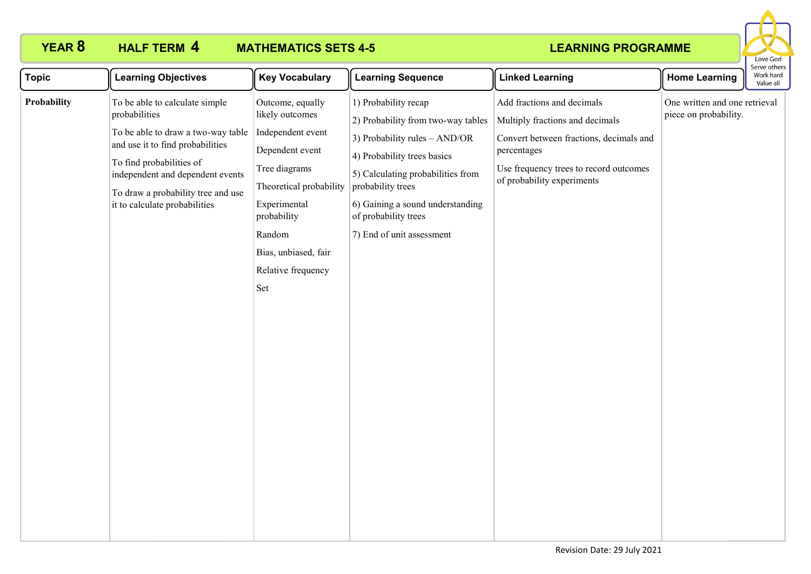# **HALF TERM 4**

# **YEAR 8 HALF TERM MATHEMATICS SETS 4-5**



| <b>Topic</b> | <b>Learning Objectives</b>                                                                                                                                                                                                                                       | <b>Key Vocabulary</b>                                                                                                                                                                                                 | <b>Learning Sequence</b>                                                                                                                                                                                                                                                        | <b>Linked Learning</b>                                                                                                                                                                          | <b>Home Learning</b>                                   | Work hard<br>Value all |
|--------------|------------------------------------------------------------------------------------------------------------------------------------------------------------------------------------------------------------------------------------------------------------------|-----------------------------------------------------------------------------------------------------------------------------------------------------------------------------------------------------------------------|---------------------------------------------------------------------------------------------------------------------------------------------------------------------------------------------------------------------------------------------------------------------------------|-------------------------------------------------------------------------------------------------------------------------------------------------------------------------------------------------|--------------------------------------------------------|------------------------|
| Probability  | To be able to calculate simple<br>probabilities<br>To be able to draw a two-way table<br>and use it to find probabilities<br>To find probabilities of<br>independent and dependent events<br>To draw a probability tree and use<br>it to calculate probabilities | Outcome, equally<br>likely outcomes<br>Independent event<br>Dependent event<br>Tree diagrams<br>Theoretical probability<br>Experimental<br>probability<br>Random<br>Bias, unbiased, fair<br>Relative frequency<br>Set | 1) Probability recap<br>2) Probability from two-way tables<br>3) Probability rules $-$ AND/OR<br>4) Probability trees basics<br>5) Calculating probabilities from<br>probability trees<br>6) Gaining a sound understanding<br>of probability trees<br>7) End of unit assessment | Add fractions and decimals<br>Multiply fractions and decimals<br>Convert between fractions, decimals and<br>percentages<br>Use frequency trees to record outcomes<br>of probability experiments | One written and one retrieval<br>piece on probability. |                        |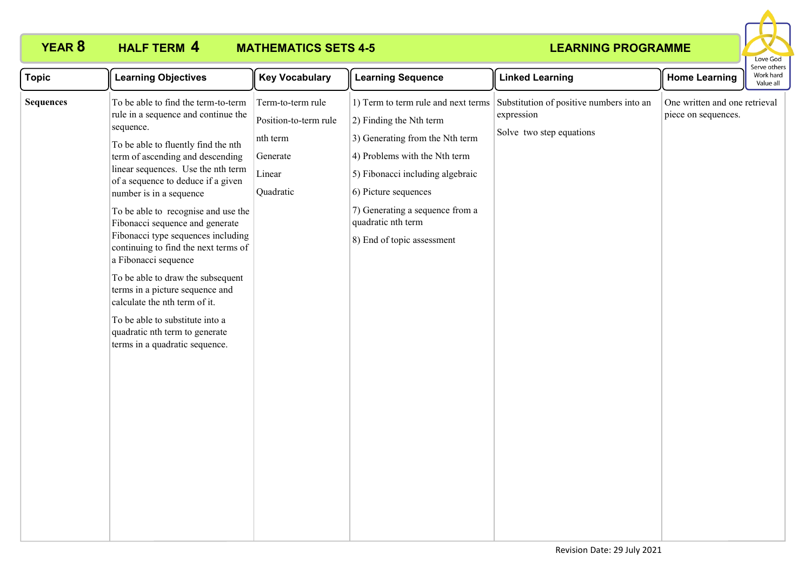

| <b>Topic</b>     | <b>Learning Objectives</b>                                                                                                                                                                                                                                                                                                                                                                                                                                                                                                                                                                                                                                                | <b>Key Vocabulary</b>                                                                     | <b>Learning Sequence</b>                                                                                                                                                                                                                                                                 | <b>Linked Learning</b>                                                             | <b>Home Learning</b>                                 | יכו עכ טנווכו<br>Work hard<br>Value all |
|------------------|---------------------------------------------------------------------------------------------------------------------------------------------------------------------------------------------------------------------------------------------------------------------------------------------------------------------------------------------------------------------------------------------------------------------------------------------------------------------------------------------------------------------------------------------------------------------------------------------------------------------------------------------------------------------------|-------------------------------------------------------------------------------------------|------------------------------------------------------------------------------------------------------------------------------------------------------------------------------------------------------------------------------------------------------------------------------------------|------------------------------------------------------------------------------------|------------------------------------------------------|-----------------------------------------|
| <b>Sequences</b> | To be able to find the term-to-term<br>rule in a sequence and continue the<br>sequence.<br>To be able to fluently find the nth<br>term of ascending and descending<br>linear sequences. Use the nth term<br>of a sequence to deduce if a given<br>number is in a sequence<br>To be able to recognise and use the<br>Fibonacci sequence and generate<br>Fibonacci type sequences including<br>continuing to find the next terms of<br>a Fibonacci sequence<br>To be able to draw the subsequent<br>terms in a picture sequence and<br>calculate the nth term of it.<br>To be able to substitute into a<br>quadratic nth term to generate<br>terms in a quadratic sequence. | Term-to-term rule<br>Position-to-term rule<br>nth term<br>Generate<br>Linear<br>Quadratic | 1) Term to term rule and next terms<br>$(2)$ Finding the Nth term<br>3) Generating from the Nth term<br>4) Problems with the Nth term<br>5) Fibonacci including algebraic<br>6) Picture sequences<br>7) Generating a sequence from a<br>quadratic nth term<br>8) End of topic assessment | Substitution of positive numbers into an<br>expression<br>Solve two step equations | One written and one retrieval<br>piece on sequences. |                                         |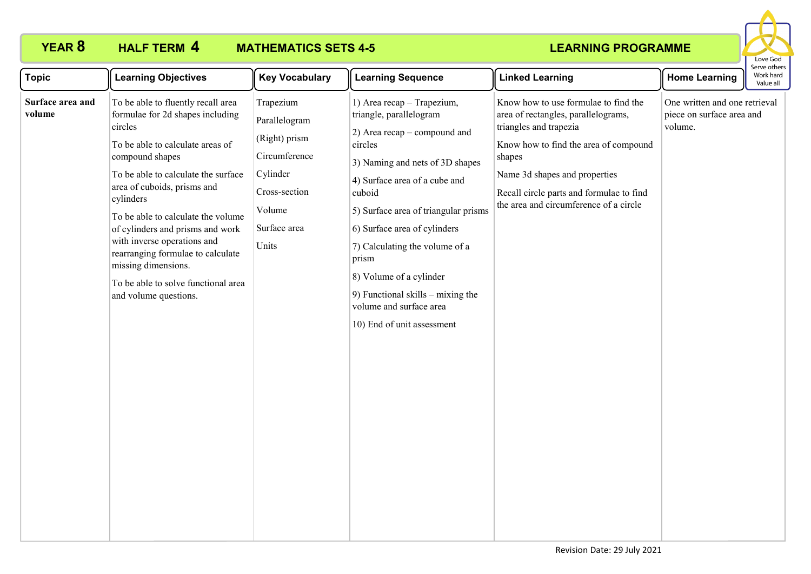

| <b>Topic</b>               | <b>Learning Objectives</b>                                                                                                                                                                                                                                                                                                                                                                                                                                       | <b>Key Vocabulary</b>                                                                                                        | <b>Learning Sequence</b>                                                                                                                                                                                                                                                                                                                                                                                                     | <b>Linked Learning</b>                                                                                                                                                                                                                                                          | <b>Home Learning</b>                                                  | serve other<br>Work hard<br>Value all |
|----------------------------|------------------------------------------------------------------------------------------------------------------------------------------------------------------------------------------------------------------------------------------------------------------------------------------------------------------------------------------------------------------------------------------------------------------------------------------------------------------|------------------------------------------------------------------------------------------------------------------------------|------------------------------------------------------------------------------------------------------------------------------------------------------------------------------------------------------------------------------------------------------------------------------------------------------------------------------------------------------------------------------------------------------------------------------|---------------------------------------------------------------------------------------------------------------------------------------------------------------------------------------------------------------------------------------------------------------------------------|-----------------------------------------------------------------------|---------------------------------------|
| Surface area and<br>volume | To be able to fluently recall area<br>formulae for 2d shapes including<br>circles<br>To be able to calculate areas of<br>compound shapes<br>To be able to calculate the surface<br>area of cuboids, prisms and<br>cylinders<br>To be able to calculate the volume<br>of cylinders and prisms and work<br>with inverse operations and<br>rearranging formulae to calculate<br>missing dimensions.<br>To be able to solve functional area<br>and volume questions. | Trapezium<br>Parallelogram<br>(Right) prism<br>Circumference<br>Cylinder<br>Cross-section<br>Volume<br>Surface area<br>Units | 1) Area recap - Trapezium,<br>triangle, parallelogram<br>2) Area recap – compound and<br>circles<br>3) Naming and nets of 3D shapes<br>4) Surface area of a cube and<br>cuboid<br>5) Surface area of triangular prisms<br>6) Surface area of cylinders<br>7) Calculating the volume of a<br>prism<br>8) Volume of a cylinder<br>9) Functional skills $-$ mixing the<br>volume and surface area<br>10) End of unit assessment | Know how to use formulae to find the<br>area of rectangles, parallelograms,<br>triangles and trapezia<br>Know how to find the area of compound<br>shapes<br>Name 3d shapes and properties<br>Recall circle parts and formulae to find<br>the area and circumference of a circle | One written and one retrieval<br>piece on surface area and<br>volume. |                                       |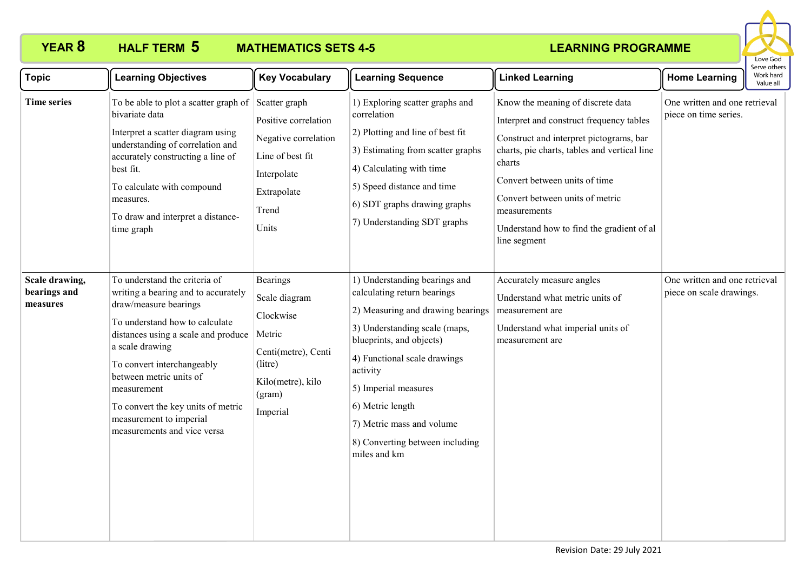

| <b>Topic</b>                               | <b>Learning Objectives</b>                                                                                                                                                                                                                                                                                                                                        | <b>Key Vocabulary</b>                                                                                                         | <b>Learning Sequence</b>                                                                                                                                                                                                                                                                                                               | <b>Linked Learning</b>                                                                                                                                                                                                                                                                                                              | <b>Home Learning</b>                                      | Serve others<br>Work hard<br>Value all |
|--------------------------------------------|-------------------------------------------------------------------------------------------------------------------------------------------------------------------------------------------------------------------------------------------------------------------------------------------------------------------------------------------------------------------|-------------------------------------------------------------------------------------------------------------------------------|----------------------------------------------------------------------------------------------------------------------------------------------------------------------------------------------------------------------------------------------------------------------------------------------------------------------------------------|-------------------------------------------------------------------------------------------------------------------------------------------------------------------------------------------------------------------------------------------------------------------------------------------------------------------------------------|-----------------------------------------------------------|----------------------------------------|
| <b>Time series</b>                         | To be able to plot a scatter graph of Scatter graph<br>bivariate data<br>Interpret a scatter diagram using<br>understanding of correlation and<br>accurately constructing a line of<br>best fit.<br>To calculate with compound<br>measures.<br>To draw and interpret a distance-<br>time graph                                                                    | Positive correlation<br>Negative correlation<br>Line of best fit<br>Interpolate<br>Extrapolate<br>Trend<br>Units              | 1) Exploring scatter graphs and<br>correlation<br>2) Plotting and line of best fit<br>3) Estimating from scatter graphs<br>4) Calculating with time<br>5) Speed distance and time<br>6) SDT graphs drawing graphs<br>7) Understanding SDT graphs                                                                                       | Know the meaning of discrete data<br>Interpret and construct frequency tables<br>Construct and interpret pictograms, bar<br>charts, pie charts, tables and vertical line<br>charts<br>Convert between units of time<br>Convert between units of metric<br>measurements<br>Understand how to find the gradient of al<br>line segment | One written and one retrieval<br>piece on time series.    |                                        |
| Scale drawing,<br>bearings and<br>measures | To understand the criteria of<br>writing a bearing and to accurately<br>draw/measure bearings<br>To understand how to calculate<br>distances using a scale and produce<br>a scale drawing<br>To convert interchangeably<br>between metric units of<br>measurement<br>To convert the key units of metric<br>measurement to imperial<br>measurements and vice versa | Bearings<br>Scale diagram<br>Clockwise<br>Metric<br>Centi(metre), Centi<br>(litre)<br>Kilo(metre), kilo<br>(gram)<br>Imperial | 1) Understanding bearings and<br>calculating return bearings<br>2) Measuring and drawing bearings<br>3) Understanding scale (maps,<br>blueprints, and objects)<br>4) Functional scale drawings<br>activity<br>5) Imperial measures<br>6) Metric length<br>7) Metric mass and volume<br>8) Converting between including<br>miles and km | Accurately measure angles<br>Understand what metric units of<br>measurement are<br>Understand what imperial units of<br>measurement are                                                                                                                                                                                             | One written and one retrieval<br>piece on scale drawings. |                                        |